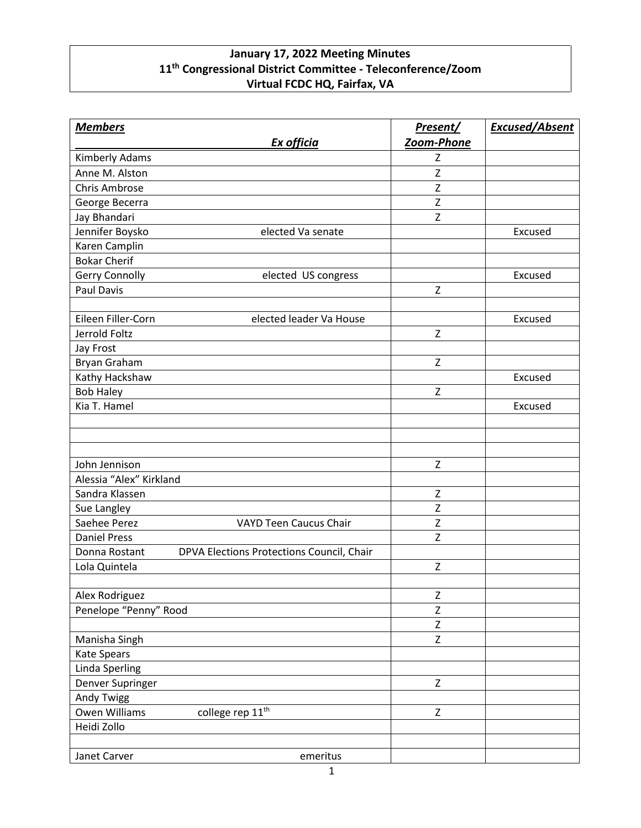## **January 17, 2022 Meeting Minutes 11th Congressional District Committee - Teleconference/Zoom Virtual FCDC HQ, Fairfax, VA**

| <b>Members</b>          |                                           | Present/       | <b>Excused/Absent</b> |
|-------------------------|-------------------------------------------|----------------|-----------------------|
|                         | Ex officia                                | Zoom-Phone     |                       |
| Kimberly Adams          |                                           | Z              |                       |
| Anne M. Alston          |                                           | Z              |                       |
| <b>Chris Ambrose</b>    |                                           | Z              |                       |
| George Becerra          |                                           | Z              |                       |
| Jay Bhandari            |                                           | Z              |                       |
| Jennifer Boysko         | elected Va senate                         |                | Excused               |
| Karen Camplin           |                                           |                |                       |
| <b>Bokar Cherif</b>     |                                           |                |                       |
| Gerry Connolly          | elected US congress                       |                | Excused               |
| <b>Paul Davis</b>       |                                           | Z              |                       |
|                         |                                           |                |                       |
| Eileen Filler-Corn      | elected leader Va House                   |                | Excused               |
| Jerrold Foltz           |                                           | Z              |                       |
| Jay Frost               |                                           |                |                       |
| Bryan Graham            |                                           | Z              |                       |
| Kathy Hackshaw          |                                           |                | Excused               |
| <b>Bob Haley</b>        |                                           | Z              |                       |
| Kia T. Hamel            |                                           |                | Excused               |
|                         |                                           |                |                       |
|                         |                                           |                |                       |
|                         |                                           |                |                       |
| John Jennison           |                                           | Z              |                       |
| Alessia "Alex" Kirkland |                                           |                |                       |
| Sandra Klassen          |                                           | Z              |                       |
| Sue Langley             |                                           | Z              |                       |
| Saehee Perez            | <b>VAYD Teen Caucus Chair</b>             | Z              |                       |
| <b>Daniel Press</b>     |                                           | Z              |                       |
| Donna Rostant           | DPVA Elections Protections Council, Chair |                |                       |
| Lola Quintela           |                                           | Z              |                       |
|                         |                                           |                |                       |
| Alex Rodriguez          |                                           | Z              |                       |
| Penelope "Penny" Rood   |                                           | Z              |                       |
|                         |                                           | $\overline{z}$ |                       |
| Manisha Singh           |                                           | $\mathsf Z$    |                       |
| Kate Spears             |                                           |                |                       |
| Linda Sperling          |                                           |                |                       |
| Denver Supringer        |                                           | Z              |                       |
| Andy Twigg              |                                           |                |                       |
| <b>Owen Williams</b>    | college rep 11 <sup>th</sup>              | $\mathsf{Z}$   |                       |
| Heidi Zollo             |                                           |                |                       |
|                         |                                           |                |                       |
| Janet Carver            | emeritus                                  |                |                       |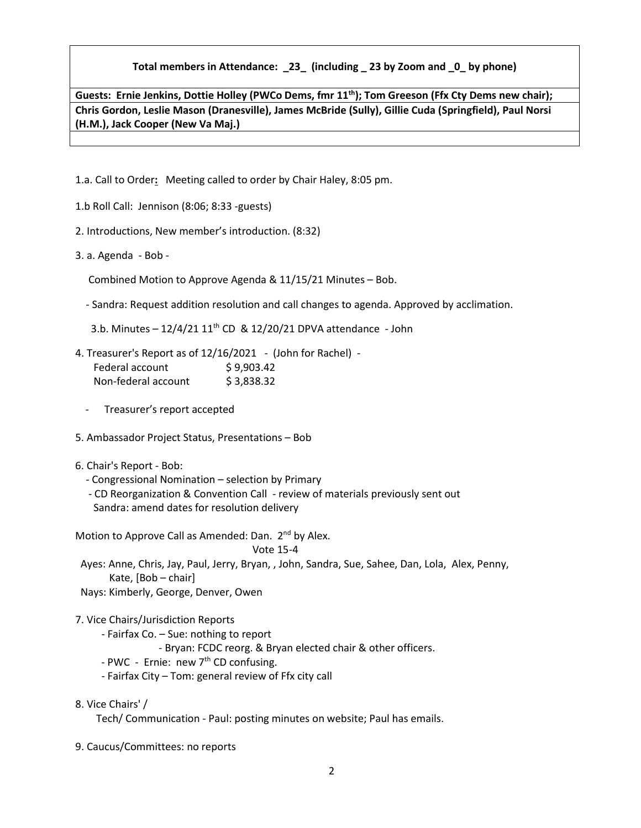## **Total members in Attendance: \_23\_ (including \_ 23 by Zoom and \_0\_ by phone)**

**Guests: Ernie Jenkins, Dottie Holley (PWCo Dems, fmr 11th); Tom Greeson (Ffx Cty Dems new chair); Chris Gordon, Leslie Mason (Dranesville), James McBride (Sully), Gillie Cuda (Springfield), Paul Norsi (H.M.), Jack Cooper (New Va Maj.)**

1.a. Call to Order**:** Meeting called to order by Chair Haley, 8:05 pm.

- 1.b Roll Call: Jennison (8:06; 8:33 -guests)
- 2. Introductions, New member's introduction. (8:32)
- 3. a. Agenda Bob -

Combined Motion to Approve Agenda & 11/15/21 Minutes – Bob.

- Sandra: Request addition resolution and call changes to agenda. Approved by acclimation.

3.b. Minutes  $-12/4/21$   $11<sup>th</sup>$  CD &  $12/20/21$  DPVA attendance - John

4. Treasurer's Report as of 12/16/2021 - (John for Rachel) - Federal account \$9,903.42 Non-federal account \$ 3,838.32

Treasurer's report accepted

- 5. Ambassador Project Status, Presentations Bob
- 6. Chair's Report Bob:
	- Congressional Nomination selection by Primary

 - CD Reorganization & Convention Call - review of materials previously sent out Sandra: amend dates for resolution delivery

Motion to Approve Call as Amended: Dan. 2<sup>nd</sup> by Alex.

Vote 15-4

 Ayes: Anne, Chris, Jay, Paul, Jerry, Bryan, , John, Sandra, Sue, Sahee, Dan, Lola, Alex, Penny, Kate, [Bob – chair]

Nays: Kimberly, George, Denver, Owen

7. Vice Chairs/Jurisdiction Reports

- Fairfax Co. – Sue: nothing to report

- Bryan: FCDC reorg. & Bryan elected chair & other officers.

- PWC - Ernie: new  $7<sup>th</sup>$  CD confusing.

- Fairfax City – Tom: general review of Ffx city call

8. Vice Chairs' /

Tech/ Communication - Paul: posting minutes on website; Paul has emails.

9. Caucus/Committees: no reports